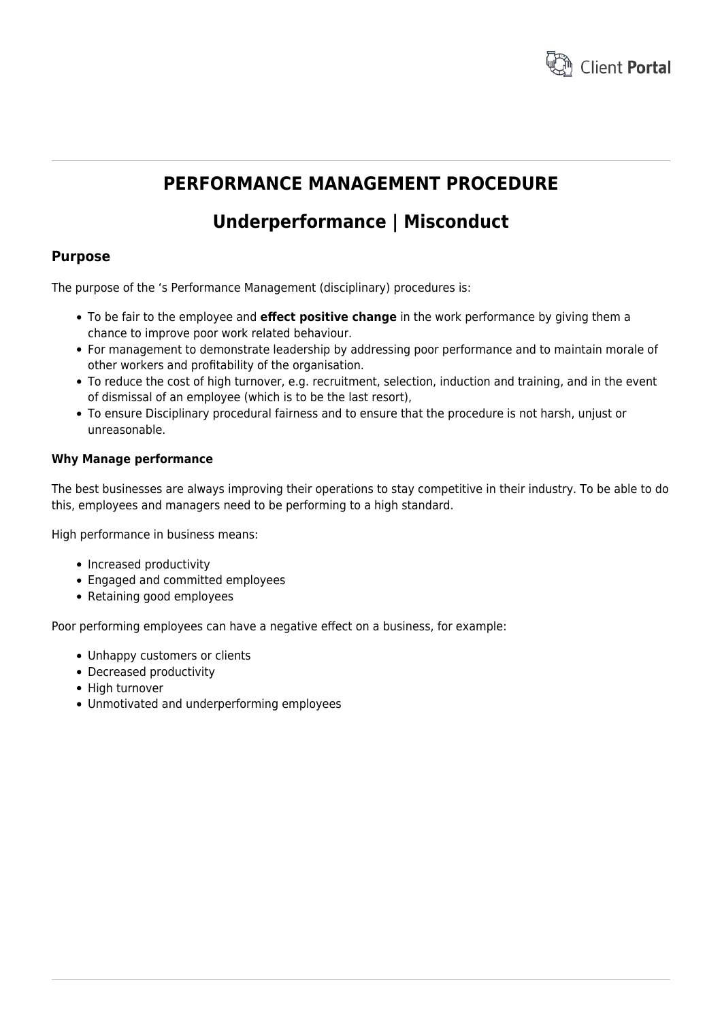

# **PERFORMANCE MANAGEMENT PROCEDURE**

# **Underperformance | Misconduct**

## **Purpose**

The purpose of the 's Performance Management (disciplinary) procedures is:

- To be fair to the employee and **effect positive change** in the work performance by giving them a chance to improve poor work related behaviour.
- For management to demonstrate leadership by addressing poor performance and to maintain morale of other workers and profitability of the organisation.
- To reduce the cost of high turnover, e.g. recruitment, selection, induction and training, and in the event of dismissal of an employee (which is to be the last resort),
- To ensure Disciplinary procedural fairness and to ensure that the procedure is not harsh, unjust or unreasonable.

#### **Why Manage performance**

The best businesses are always improving their operations to stay competitive in their industry. To be able to do this, employees and managers need to be performing to a high standard.

High performance in business means:

- Increased productivity
- Engaged and committed employees
- Retaining good employees

Poor performing employees can have a negative effect on a business, for example:

- Unhappy customers or clients
- Decreased productivity
- High turnover
- Unmotivated and underperforming employees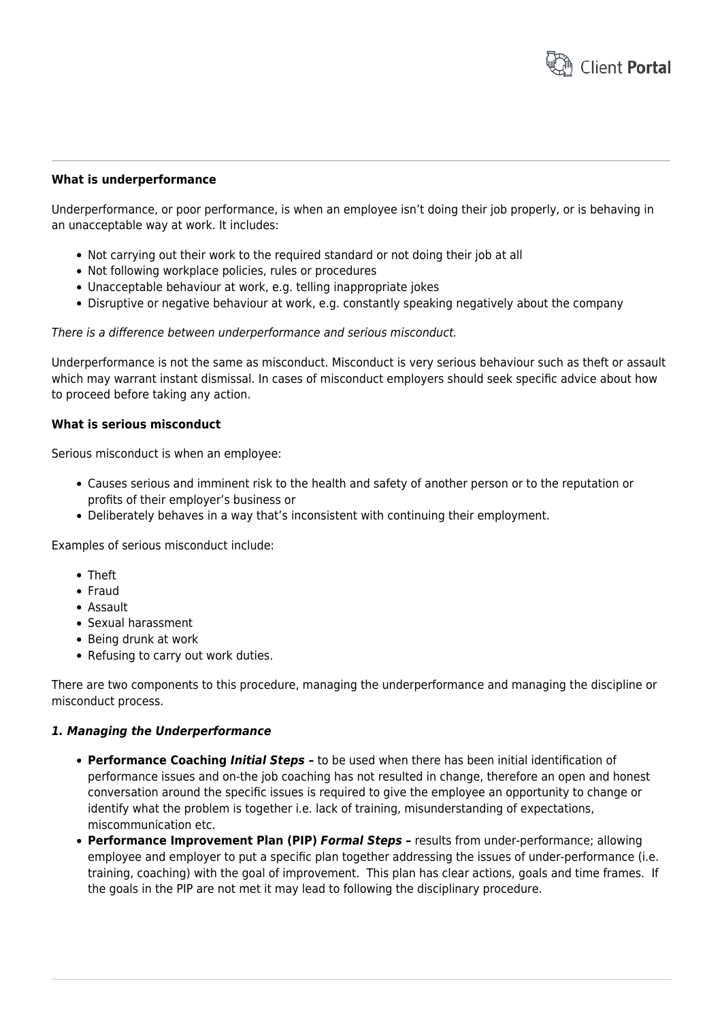

#### **What is underperformance**

Underperformance, or poor performance, is when an employee isn't doing their job properly, or is behaving in an unacceptable way at work. It includes:

- Not carrying out their work to the required standard or not doing their job at all
- Not following workplace policies, rules or procedures
- Unacceptable behaviour at work, e.g. telling inappropriate jokes
- Disruptive or negative behaviour at work, e.g. constantly speaking negatively about the company

There is a difference between underperformance and serious misconduct.

Underperformance is not the same as misconduct. Misconduct is very serious behaviour such as theft or assault which may warrant instant dismissal. In cases of misconduct employers should seek specific advice about how to proceed before taking any action.

#### **What is serious misconduct**

Serious misconduct is when an employee:

- Causes serious and imminent risk to the health and safety of another person or to the reputation or profits of their employer's business or
- Deliberately behaves in a way that's inconsistent with continuing their employment.

Examples of serious misconduct include:

- Theft
- Fraud
- Assault
- Sexual harassment
- Being drunk at work
- Refusing to carry out work duties.

There are two components to this procedure, managing the underperformance and managing the discipline or misconduct process.

#### *1. Managing the Underperformance*

- **Performance Coaching** *Initial Steps* **–** to be used when there has been initial identification of performance issues and on-the job coaching has not resulted in change, therefore an open and honest conversation around the specific issues is required to give the employee an opportunity to change or identify what the problem is together i.e. lack of training, misunderstanding of expectations, miscommunication etc.
- **Performance Improvement Plan (PIP)** *Formal Steps* **–** results from under-performance; allowing employee and employer to put a specific plan together addressing the issues of under-performance (i.e. training, coaching) with the goal of improvement. This plan has clear actions, goals and time frames. If the goals in the PIP are not met it may lead to following the disciplinary procedure.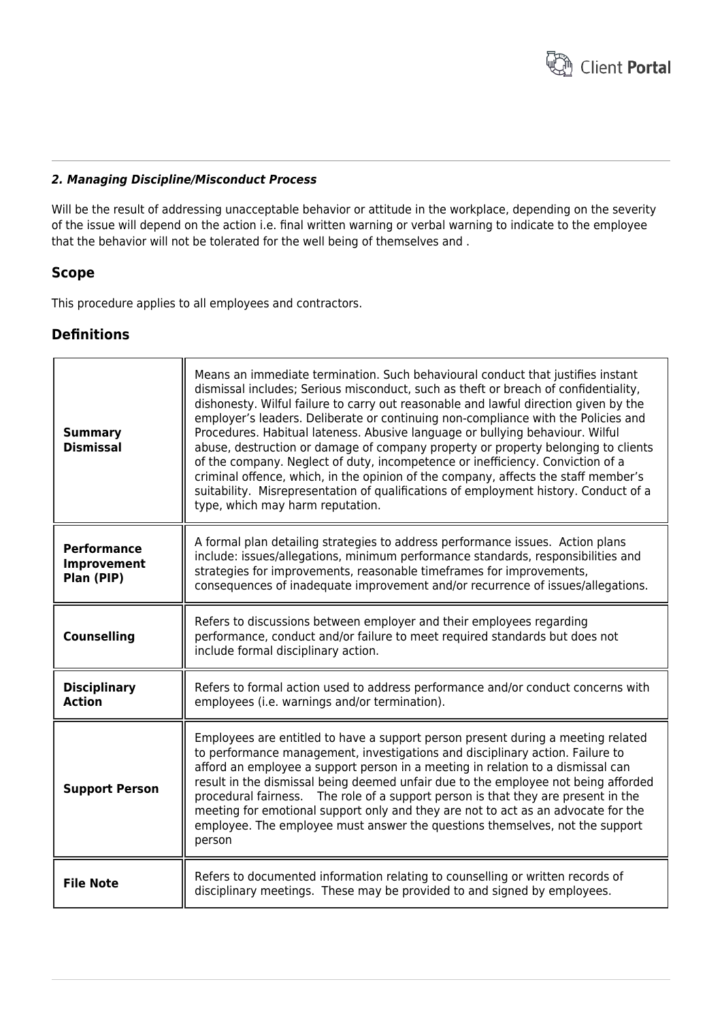

#### *2. Managing Discipline/Misconduct Process*

Will be the result of addressing unacceptable behavior or attitude in the workplace, depending on the severity of the issue will depend on the action i.e. final written warning or verbal warning to indicate to the employee that the behavior will not be tolerated for the well being of themselves and .

## **Scope**

This procedure applies to all employees and contractors.

## **Definitions**

| <b>Summary</b><br><b>Dismissal</b>              | Means an immediate termination. Such behavioural conduct that justifies instant<br>dismissal includes; Serious misconduct, such as theft or breach of confidentiality,<br>dishonesty. Wilful failure to carry out reasonable and lawful direction given by the<br>employer's leaders. Deliberate or continuing non-compliance with the Policies and<br>Procedures. Habitual lateness. Abusive language or bullying behaviour. Wilful<br>abuse, destruction or damage of company property or property belonging to clients<br>of the company. Neglect of duty, incompetence or inefficiency. Conviction of a<br>criminal offence, which, in the opinion of the company, affects the staff member's<br>suitability. Misrepresentation of qualifications of employment history. Conduct of a<br>type, which may harm reputation. |  |
|-------------------------------------------------|-------------------------------------------------------------------------------------------------------------------------------------------------------------------------------------------------------------------------------------------------------------------------------------------------------------------------------------------------------------------------------------------------------------------------------------------------------------------------------------------------------------------------------------------------------------------------------------------------------------------------------------------------------------------------------------------------------------------------------------------------------------------------------------------------------------------------------|--|
| <b>Performance</b><br>Improvement<br>Plan (PIP) | A formal plan detailing strategies to address performance issues. Action plans<br>include: issues/allegations, minimum performance standards, responsibilities and<br>strategies for improvements, reasonable timeframes for improvements,<br>consequences of inadequate improvement and/or recurrence of issues/allegations.                                                                                                                                                                                                                                                                                                                                                                                                                                                                                                 |  |
| <b>Counselling</b>                              | Refers to discussions between employer and their employees regarding<br>performance, conduct and/or failure to meet required standards but does not<br>include formal disciplinary action.                                                                                                                                                                                                                                                                                                                                                                                                                                                                                                                                                                                                                                    |  |
| <b>Disciplinary</b><br><b>Action</b>            | Refers to formal action used to address performance and/or conduct concerns with<br>employees (i.e. warnings and/or termination).                                                                                                                                                                                                                                                                                                                                                                                                                                                                                                                                                                                                                                                                                             |  |
| <b>Support Person</b>                           | Employees are entitled to have a support person present during a meeting related<br>to performance management, investigations and disciplinary action. Failure to<br>afford an employee a support person in a meeting in relation to a dismissal can<br>result in the dismissal being deemed unfair due to the employee not being afforded<br>procedural fairness. The role of a support person is that they are present in the<br>meeting for emotional support only and they are not to act as an advocate for the<br>employee. The employee must answer the questions themselves, not the support<br>person                                                                                                                                                                                                                |  |
| <b>File Note</b>                                | Refers to documented information relating to counselling or written records of<br>disciplinary meetings. These may be provided to and signed by employees.                                                                                                                                                                                                                                                                                                                                                                                                                                                                                                                                                                                                                                                                    |  |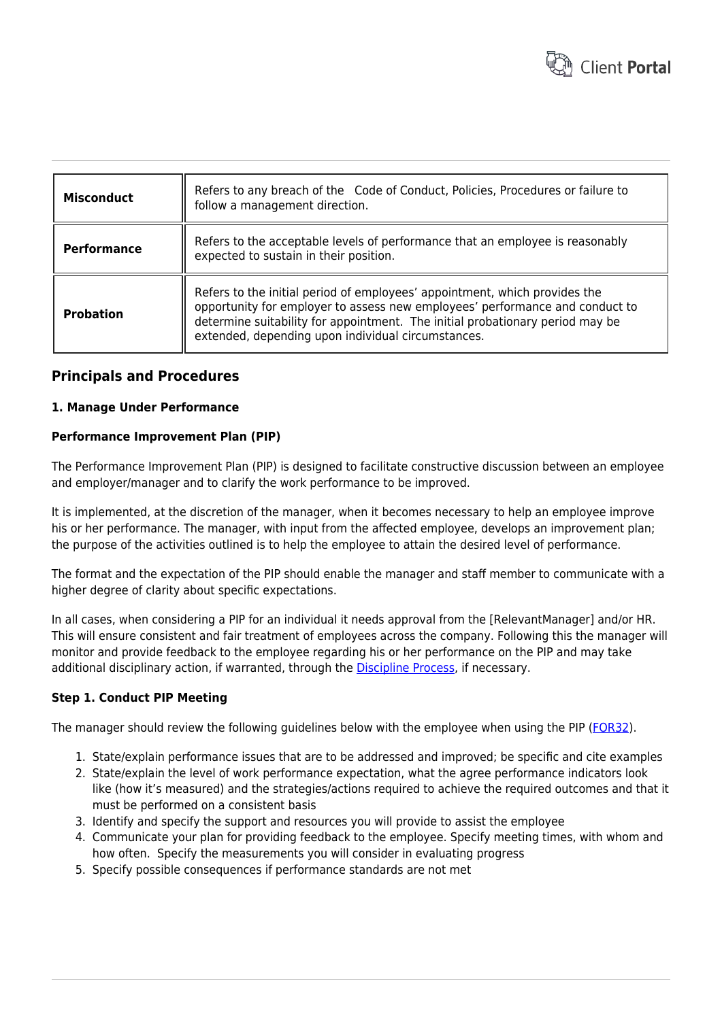

| <b>Misconduct</b> | Refers to any breach of the Code of Conduct, Policies, Procedures or failure to<br>follow a management direction.                                                                                                                                                                                 |  |
|-------------------|---------------------------------------------------------------------------------------------------------------------------------------------------------------------------------------------------------------------------------------------------------------------------------------------------|--|
| Performance       | Refers to the acceptable levels of performance that an employee is reasonably<br>expected to sustain in their position.                                                                                                                                                                           |  |
| <b>Probation</b>  | Refers to the initial period of employees' appointment, which provides the<br>opportunity for employer to assess new employees' performance and conduct to<br>determine suitability for appointment. The initial probationary period may be<br>extended, depending upon individual circumstances. |  |

## **Principals and Procedures**

#### **1. Manage Under Performance**

#### **Performance Improvement Plan (PIP)**

The Performance Improvement Plan (PIP) is designed to facilitate constructive discussion between an employee and employer/manager and to clarify the work performance to be improved.

It is implemented, at the discretion of the manager, when it becomes necessary to help an employee improve his or her performance. The manager, with input from the affected employee, develops an improvement plan; the purpose of the activities outlined is to help the employee to attain the desired level of performance.

The format and the expectation of the PIP should enable the manager and staff member to communicate with a higher degree of clarity about specific expectations.

In all cases, when considering a PIP for an individual it needs approval from the [RelevantManager] and/or HR. This will ensure consistent and fair treatment of employees across the company. Following this the manager will monitor and provide feedback to the employee regarding his or her performance on the PIP and may take additional disciplinary action, if warranted, through the **Discipline Process**, if necessary.

#### **Step 1. Conduct PIP Meeting**

The manager should review the following guidelines below with the employee when using the PIP ([FOR32\)](https://www.hrtemplates.com.au/formtemplates/hr-for32-pip-form/).

- 1. State/explain performance issues that are to be addressed and improved; be specific and cite examples
- 2. State/explain the level of work performance expectation, what the agree performance indicators look like (how it's measured) and the strategies/actions required to achieve the required outcomes and that it must be performed on a consistent basis
- 3. Identify and specify the support and resources you will provide to assist the employee
- 4. Communicate your plan for providing feedback to the employee. Specify meeting times, with whom and how often. Specify the measurements you will consider in evaluating progress
- 5. Specify possible consequences if performance standards are not met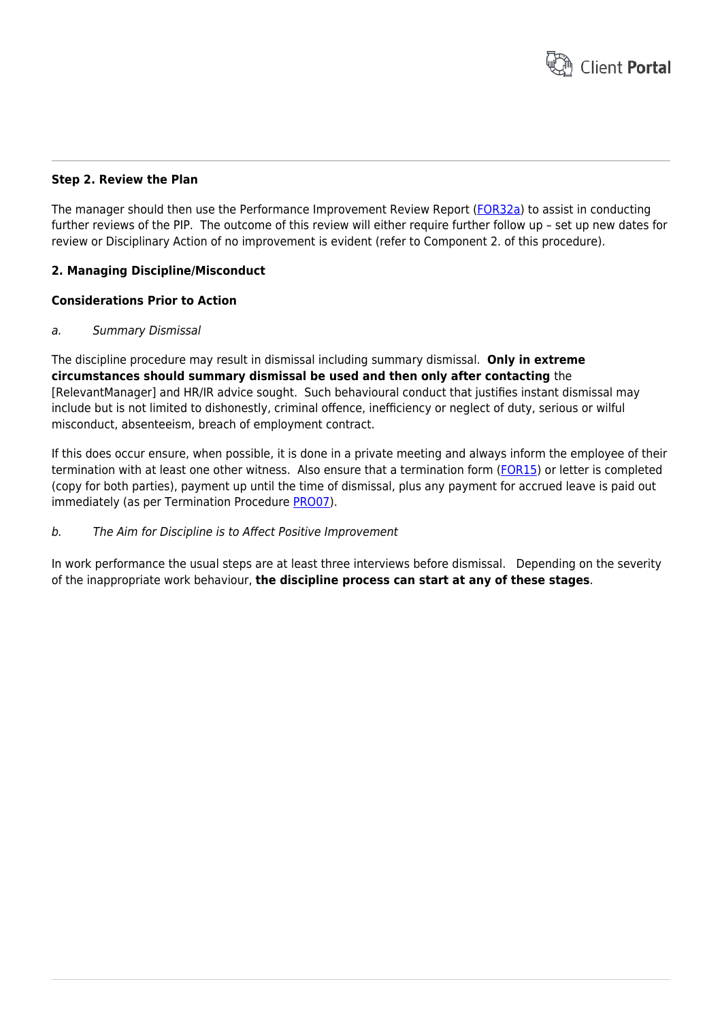

#### **Step 2. Review the Plan**

The manager should then use the Performance Improvement Review Report ([FOR32a](https://www.hrtemplates.com.au/formtemplates/hr-for32a-pip-review/)) to assist in conducting further reviews of the PIP. The outcome of this review will either require further follow up – set up new dates for review or Disciplinary Action of no improvement is evident (refer to Component 2. of this procedure).

#### **2. Managing Discipline/Misconduct**

#### **Considerations Prior to Action**

#### a. Summary Dismissal

The discipline procedure may result in dismissal including summary dismissal. **Only in extreme circumstances should summary dismissal be used and then only after contacting** the [RelevantManager] and HR/IR advice sought. Such behavioural conduct that justifies instant dismissal may include but is not limited to dishonestly, criminal offence, inefficiency or neglect of duty, serious or wilful misconduct, absenteeism, breach of employment contract.

If this does occur ensure, when possible, it is done in a private meeting and always inform the employee of their termination with at least one other witness. Also ensure that a termination form [\(FOR15](https://www.hrtemplates.com.au/formtemplates/hr-for15-termination-form/)) or letter is completed (copy for both parties), payment up until the time of dismissal, plus any payment for accrued leave is paid out immediately (as per Termination Procedure [PRO07](https://www.hrtemplates.com.au/policies_procedures/hr-pro07-termination-procedure/)).

#### b. The Aim for Discipline is to Affect Positive Improvement

In work performance the usual steps are at least three interviews before dismissal. Depending on the severity of the inappropriate work behaviour, **the discipline process can start at any of these stages**.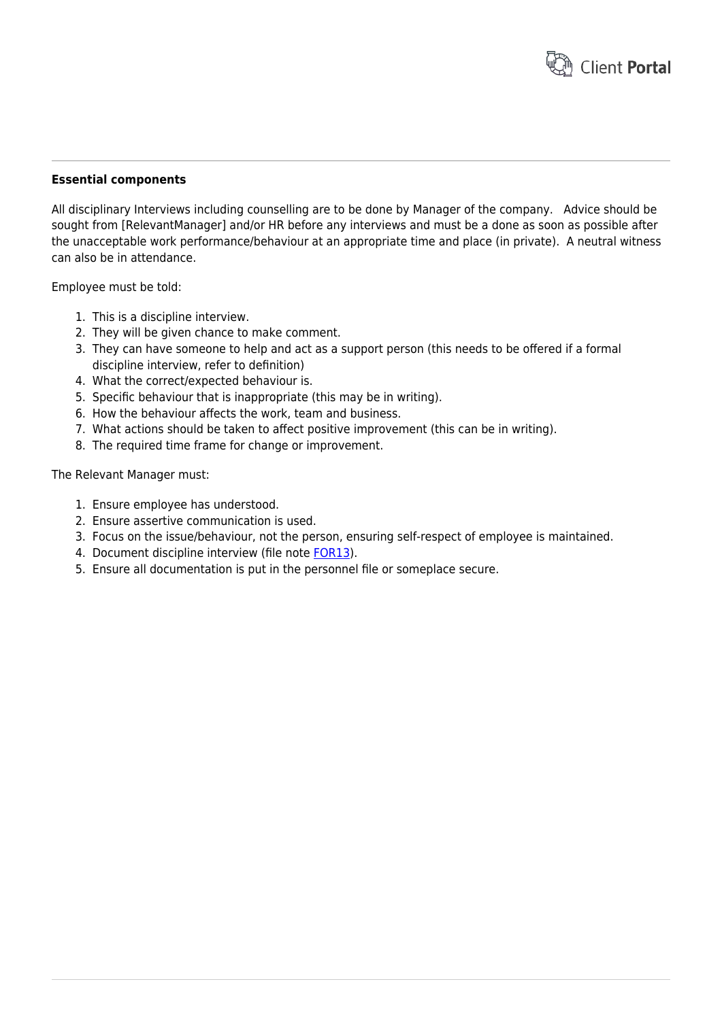

#### **Essential components**

All disciplinary Interviews including counselling are to be done by Manager of the company. Advice should be sought from [RelevantManager] and/or HR before any interviews and must be a done as soon as possible after the unacceptable work performance/behaviour at an appropriate time and place (in private). A neutral witness can also be in attendance.

Employee must be told:

- 1. This is a discipline interview.
- 2. They will be given chance to make comment.
- 3. They can have someone to help and act as a support person (this needs to be offered if a formal discipline interview, refer to definition)
- 4. What the correct/expected behaviour is.
- 5. Specific behaviour that is inappropriate (this may be in writing).
- 6. How the behaviour affects the work, team and business.
- 7. What actions should be taken to affect positive improvement (this can be in writing).
- 8. The required time frame for change or improvement.

The Relevant Manager must:

- 1. Ensure employee has understood.
- 2. Ensure assertive communication is used.
- 3. Focus on the issue/behaviour, not the person, ensuring self-respect of employee is maintained.
- 4. Document discipline interview (file note [FOR13\)](https://www.hrtemplates.com.au/formtemplates/hr-for13-file-note/).
- 5. Ensure all documentation is put in the personnel file or someplace secure.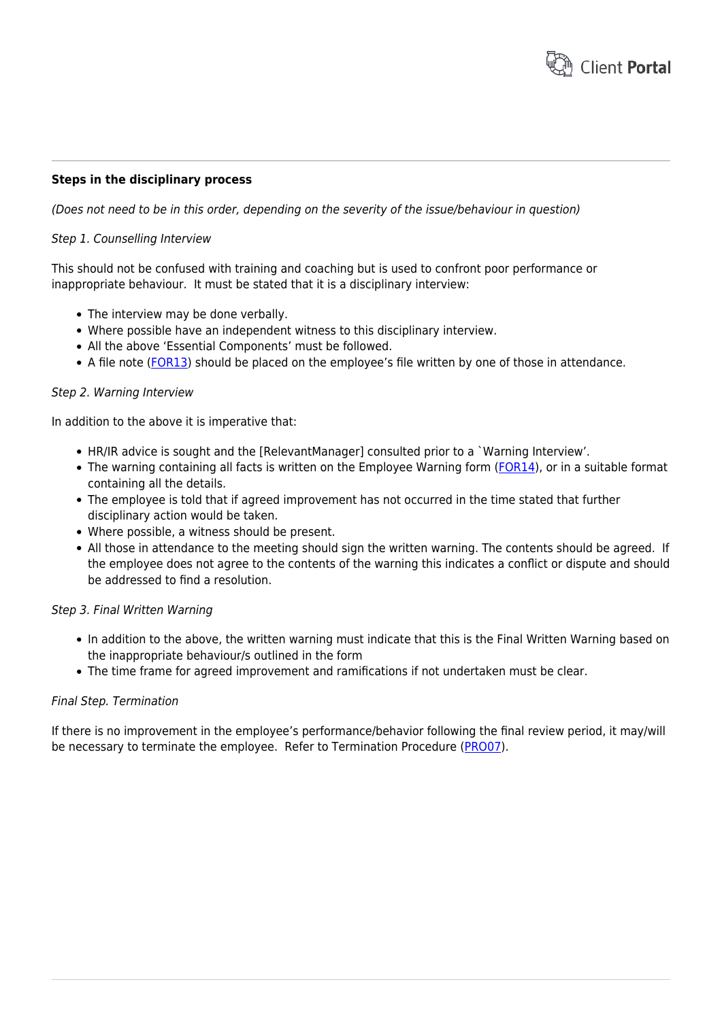

#### **Steps in the disciplinary process**

(Does not need to be in this order, depending on the severity of the issue/behaviour in question)

#### Step 1. Counselling Interview

This should not be confused with training and coaching but is used to confront poor performance or inappropriate behaviour. It must be stated that it is a disciplinary interview:

- The interview may be done verbally.
- Where possible have an independent witness to this disciplinary interview.
- All the above 'Essential Components' must be followed.
- A file note ([FOR13\)](https://www.hrtemplates.com.au/formtemplates/hr-for13-file-note/) should be placed on the employee's file written by one of those in attendance.

#### Step 2. Warning Interview

In addition to the above it is imperative that:

- HR/IR advice is sought and the [RelevantManager] consulted prior to a `Warning Interview'.
- The warning containing all facts is written on the Employee Warning form [\(FOR14](https://www.hrtemplates.com.au/formtemplates/hr-for14-employee-warning/)), or in a suitable format containing all the details.
- The employee is told that if agreed improvement has not occurred in the time stated that further disciplinary action would be taken.
- Where possible, a witness should be present.
- All those in attendance to the meeting should sign the written warning. The contents should be agreed. If the employee does not agree to the contents of the warning this indicates a conflict or dispute and should be addressed to find a resolution.

#### Step 3. Final Written Warning

- In addition to the above, the written warning must indicate that this is the Final Written Warning based on the inappropriate behaviour/s outlined in the form
- The time frame for agreed improvement and ramifications if not undertaken must be clear.

#### Final Step. Termination

If there is no improvement in the employee's performance/behavior following the final review period, it may/will be necessary to terminate the employee. Refer to Termination Procedure [\(PRO07](https://www.hrtemplates.com.au/policies_procedures/hr-pro07-termination-procedure/)).